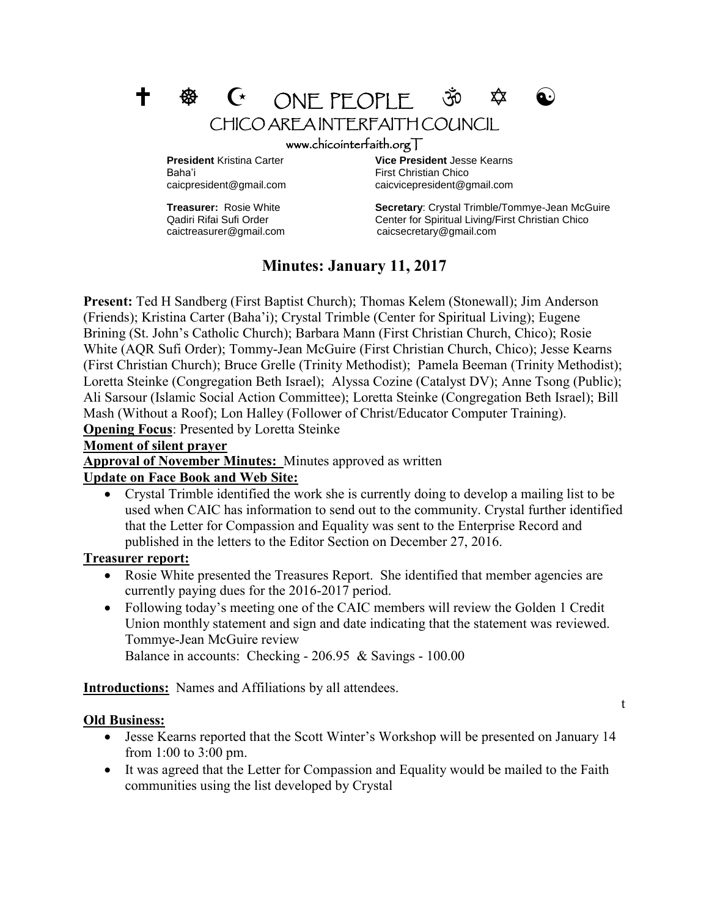

Baha'i First Christian Chico

**President** Kristina Carter **Vice President** Jesse Kearns caicpresident@gmail.com caicvicepresident@gmail.com

**Treasurer:** Rosie White **Secretary**: Crystal Trimble/Tommye-Jean McGuire Qadiri Rifai Sufi Order Center for Spiritual Living/First Christian Chico caictreasurer@gmail.com caicsecretary@gmail.com

# **Minutes: January 11, 2017**

**Present:** Ted H Sandberg (First Baptist Church); Thomas Kelem (Stonewall); Jim Anderson (Friends); Kristina Carter (Baha'i); Crystal Trimble (Center for Spiritual Living); Eugene Brining (St. John's Catholic Church); Barbara Mann (First Christian Church, Chico); Rosie White (AQR Sufi Order); Tommy-Jean McGuire (First Christian Church, Chico); Jesse Kearns (First Christian Church); Bruce Grelle (Trinity Methodist); Pamela Beeman (Trinity Methodist); Loretta Steinke (Congregation Beth Israel); Alyssa Cozine (Catalyst DV); Anne Tsong (Public); Ali Sarsour (Islamic Social Action Committee); Loretta Steinke (Congregation Beth Israel); Bill Mash (Without a Roof); Lon Halley (Follower of Christ/Educator Computer Training). **Opening Focus**: Presented by Loretta Steinke

#### **Moment of silent prayer**

**Approval of November Minutes:** Minutes approved as written

### **Update on Face Book and Web Site:**

 Crystal Trimble identified the work she is currently doing to develop a mailing list to be used when CAIC has information to send out to the community. Crystal further identified that the Letter for Compassion and Equality was sent to the Enterprise Record and published in the letters to the Editor Section on December 27, 2016.

### **Treasurer report:**

- Rosie White presented the Treasures Report. She identified that member agencies are currently paying dues for the 2016-2017 period.
- Following today's meeting one of the CAIC members will review the Golden 1 Credit Union monthly statement and sign and date indicating that the statement was reviewed. Tommye-Jean McGuire review Balance in accounts: Checking - 206.95 & Savings - 100.00

**Introductions:** Names and Affiliations by all attendees.

### **Old Business:**

- Jesse Kearns reported that the Scott Winter's Workshop will be presented on January 14 from 1:00 to 3:00 pm.
- It was agreed that the Letter for Compassion and Equality would be mailed to the Faith communities using the list developed by Crystal

t